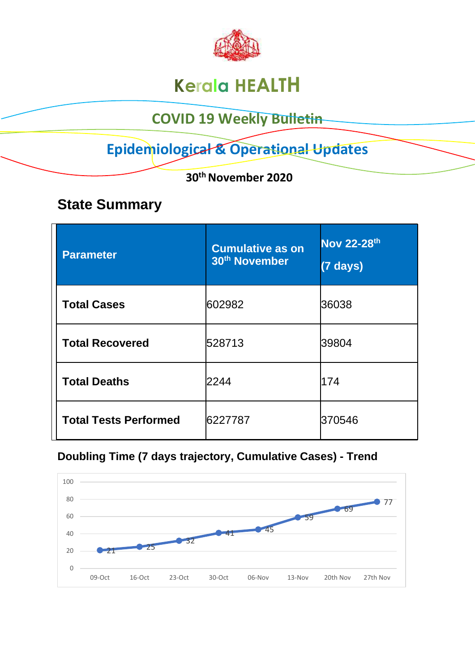

# **Kerala HEALTH**

## **COVID 19 Weekly Bulletin**

## **Epidemiological & Operational Updates**

 **30th November 2020**

## **State Summary**

| <b>Parameter</b>             | <b>Cumulative as on</b><br>30 <sup>th</sup> November | <b>Nov 22-28th</b><br>$(7$ days) |
|------------------------------|------------------------------------------------------|----------------------------------|
| <b>Total Cases</b>           | 602982                                               | 36038                            |
| <b>Total Recovered</b>       | 528713                                               | 39804                            |
| <b>Total Deaths</b>          | 2244                                                 | 174                              |
| <b>Total Tests Performed</b> | 6227787                                              | 370546                           |

### **Doubling Time (7 days trajectory, Cumulative Cases) - Trend**

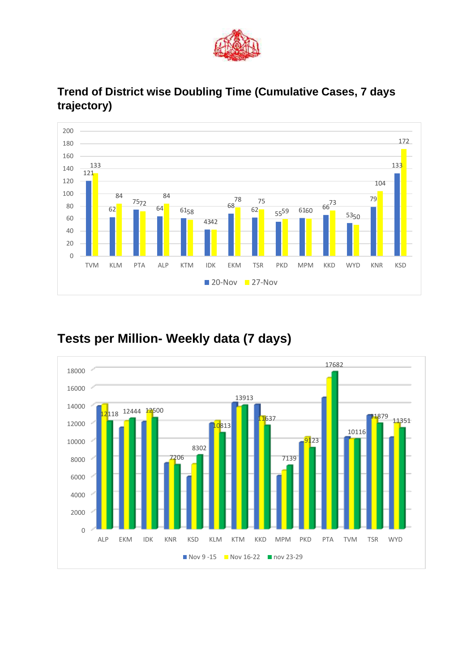



#### **Trend of District wise Doubling Time (Cumulative Cases, 7 days trajectory)**

### **Tests per Million- Weekly data (7 days)**

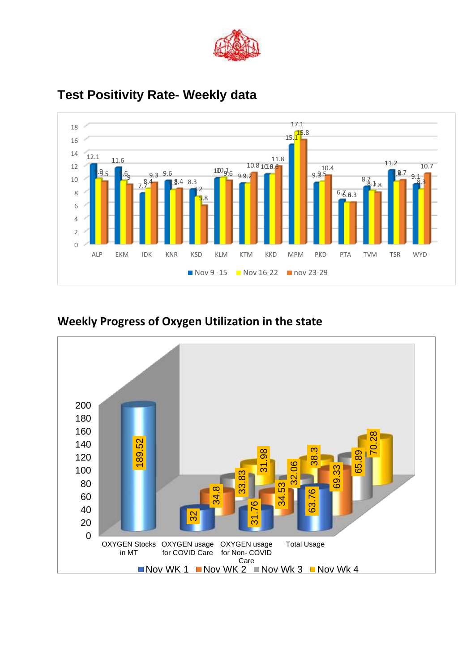



### **Test Positivity Rate- Weekly data**

#### **Weekly Progress of Oxygen Utilization in the state**